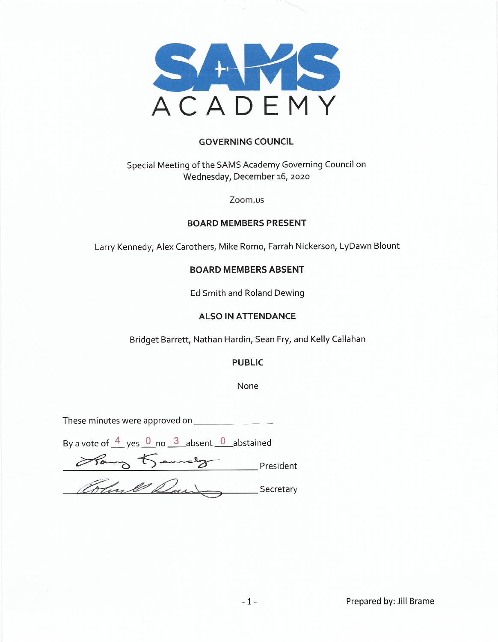

### **GOVERNING COUNCIL**

### Special Meeting of the SAMS Academy Governing Council on Wednesday, December 16, 2020

#### Zoom.us

### **BOARD MEMBERS PRESENT**

Larry Kennedy, Alex Carothers, Mike Romo, Farrah Nickerson, LyDawn Blount

### **BOARD MEMBERS ABSENT**

Ed Smith and Roland Dewing

#### **ALSO IN ATTENDANCE**

Bridget Barrett, Nathan Hardin, Sean Fry, and Kelly Callahan

### **PUBLIC**

None

By a vote of  $\frac{4}{5}$  yes  $\frac{0}{5}$  no  $\frac{3}{5}$  absent  $\frac{0}{5}$  abstained

Roug Kemely President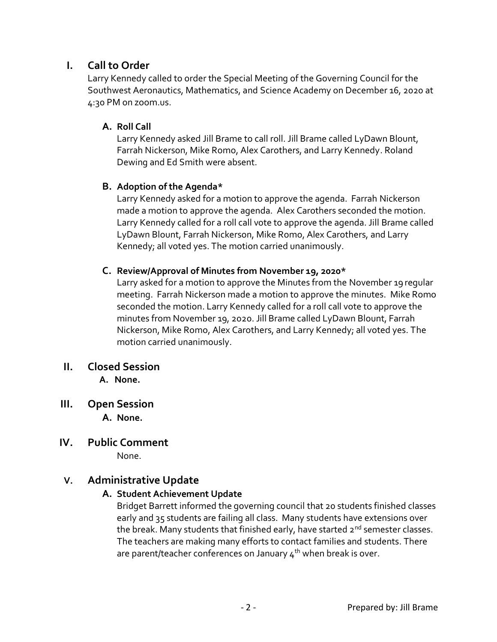# **I. Call to Order**

Larry Kennedy called to order the Special Meeting of the Governing Council for the Southwest Aeronautics, Mathematics, and Science Academy on December 16, 2020 at 4:30 PM on zoom.us.

### **A. Roll Call**

Larry Kennedy asked Jill Brame to call roll. Jill Brame called LyDawn Blount, Farrah Nickerson, Mike Romo, Alex Carothers, and Larry Kennedy. Roland Dewing and Ed Smith were absent.

### **B. Adoption of the Agenda\***

Larry Kennedy asked for a motion to approve the agenda. Farrah Nickerson made a motion to approve the agenda. Alex Carothers seconded the motion. Larry Kennedy called for a roll call vote to approve the agenda. Jill Brame called LyDawn Blount, Farrah Nickerson, Mike Romo, Alex Carothers, and Larry Kennedy; all voted yes. The motion carried unanimously.

## **C. Review/Approval of Minutes from November 19, 2020\***

Larry asked for a motion to approve the Minutes from the November 19 regular meeting. Farrah Nickerson made a motion to approve the minutes. Mike Romo seconded the motion. Larry Kennedy called for a roll call vote to approve the minutes from November 19, 2020. Jill Brame called LyDawn Blount, Farrah Nickerson, Mike Romo, Alex Carothers, and Larry Kennedy; all voted yes. The motion carried unanimously.

## **II. Closed Session**

 **A. None.**

**III. Open Session** 

**A. None.** 

**IV. Public Comment** 

None.

# **V. Administrative Update**

## **A. Student Achievement Update**

Bridget Barrett informed the governing council that 20 students finished classes early and 35 students are failing all class. Many students have extensions over the break. Many students that finished early, have started  $2^{nd}$  semester classes. The teachers are making many efforts to contact families and students. There are parent/teacher conferences on January  $4<sup>th</sup>$  when break is over.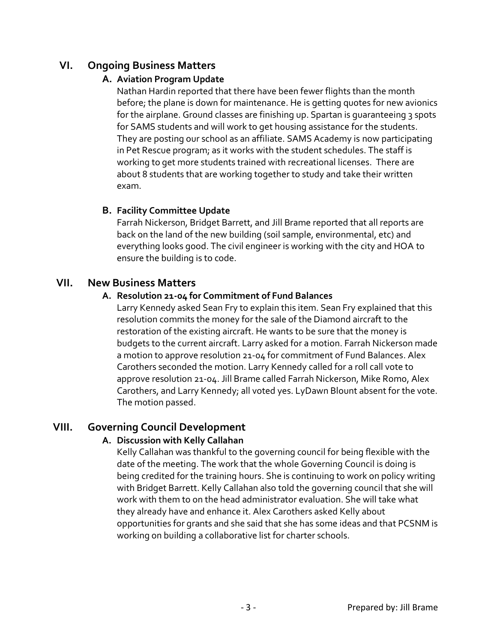# **VI. Ongoing Business Matters**

### **A. Aviation Program Update**

Nathan Hardin reported that there have been fewer flights than the month before; the plane is down for maintenance. He is getting quotes for new avionics for the airplane. Ground classes are finishing up. Spartan is quaranteeing 3 spots for SAMS students and will work to get housing assistance for the students. They are posting our school as an affiliate. SAMS Academy is now participating in Pet Rescue program; as it works with the student schedules. The staff is working to get more students trained with recreational licenses. There are about 8 students that are working together to study and take their written exam.

### **B. Facility Committee Update**

Farrah Nickerson, Bridget Barrett, and Jill Brame reported that all reports are back on the land of the new building (soil sample, environmental, etc) and everything looks good. The civil engineer is working with the city and HOA to ensure the building is to code.

## **VII. New Business Matters**

### **A. Resolution 21-04 for Commitment of Fund Balances**

Larry Kennedy asked Sean Fry to explain this item. Sean Fry explained that this resolution commits the money for the sale of the Diamond aircraft to the restoration of the existing aircraft. He wants to be sure that the money is budgets to the current aircraft. Larry asked for a motion. Farrah Nickerson made a motion to approve resolution 21-04 for commitment of Fund Balances. Alex Carothers seconded the motion. Larry Kennedy called for a roll call vote to approve resolution 21-04. Jill Brame called Farrah Nickerson, Mike Romo, Alex Carothers, and Larry Kennedy; all voted yes. LyDawn Blount absent for the vote. The motion passed.

## **VIII. Governing Council Development**

### **A. Discussion with Kelly Callahan**

Kelly Callahan was thankful to the governing council for being flexible with the date of the meeting. The work that the whole Governing Council is doing is being credited for the training hours. She is continuing to work on policy writing with Bridget Barrett. Kelly Callahan also told the governing council that she will work with them to on the head administrator evaluation. She will take what they already have and enhance it. Alex Carothers asked Kelly about opportunities for grants and she said that she has some ideas and that PCSNM is working on building a collaborative list for charter schools.